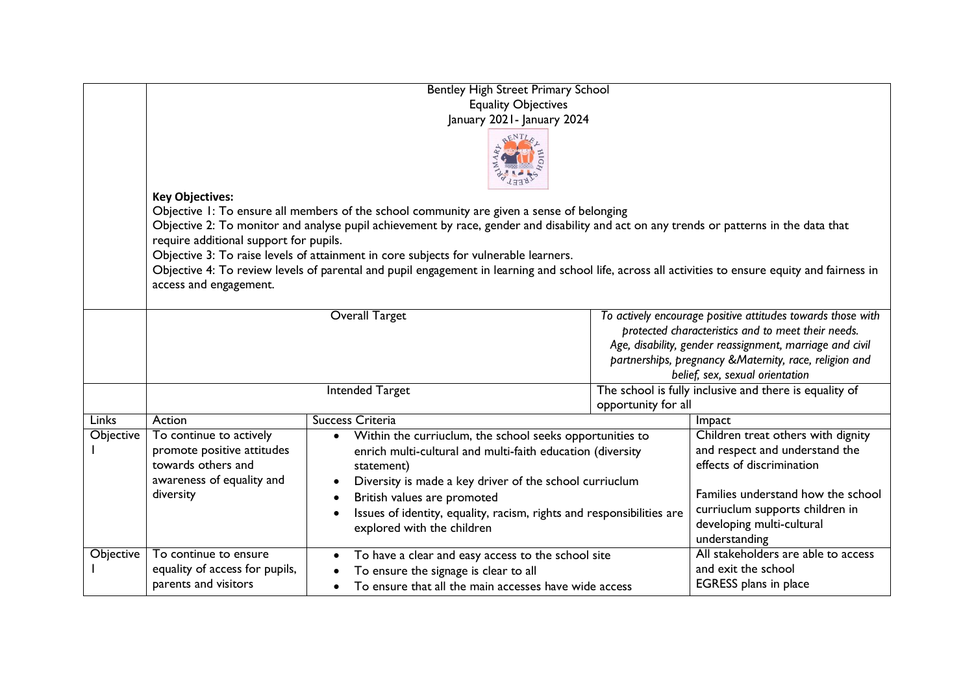|              | Bentley High Street Primary School                                                                                                                 |                                                                                    |                                                                                                                   |                                                            |  |  |  |
|--------------|----------------------------------------------------------------------------------------------------------------------------------------------------|------------------------------------------------------------------------------------|-------------------------------------------------------------------------------------------------------------------|------------------------------------------------------------|--|--|--|
|              | <b>Equality Objectives</b>                                                                                                                         |                                                                                    |                                                                                                                   |                                                            |  |  |  |
|              | January 2021 - January 2024                                                                                                                        |                                                                                    |                                                                                                                   |                                                            |  |  |  |
|              |                                                                                                                                                    |                                                                                    |                                                                                                                   |                                                            |  |  |  |
|              | <b>Key Objectives:</b>                                                                                                                             |                                                                                    |                                                                                                                   |                                                            |  |  |  |
|              | Objective 1: To ensure all members of the school community are given a sense of belonging                                                          |                                                                                    |                                                                                                                   |                                                            |  |  |  |
|              | Objective 2: To monitor and analyse pupil achievement by race, gender and disability and act on any trends or patterns in the data that            |                                                                                    |                                                                                                                   |                                                            |  |  |  |
|              | require additional support for pupils.                                                                                                             |                                                                                    |                                                                                                                   |                                                            |  |  |  |
|              | Objective 3: To raise levels of attainment in core subjects for vulnerable learners.                                                               |                                                                                    |                                                                                                                   |                                                            |  |  |  |
|              | Objective 4: To review levels of parental and pupil engagement in learning and school life, across all activities to ensure equity and fairness in |                                                                                    |                                                                                                                   |                                                            |  |  |  |
|              | access and engagement.                                                                                                                             |                                                                                    |                                                                                                                   |                                                            |  |  |  |
|              |                                                                                                                                                    |                                                                                    |                                                                                                                   |                                                            |  |  |  |
|              |                                                                                                                                                    | <b>Overall Target</b>                                                              | To actively encourage positive attitudes towards those with<br>protected characteristics and to meet their needs. |                                                            |  |  |  |
|              |                                                                                                                                                    |                                                                                    |                                                                                                                   | Age, disability, gender reassignment, marriage and civil   |  |  |  |
|              |                                                                                                                                                    |                                                                                    |                                                                                                                   | partnerships, pregnancy & Maternity, race, religion and    |  |  |  |
|              |                                                                                                                                                    |                                                                                    |                                                                                                                   | belief, sex, sexual orientation                            |  |  |  |
|              |                                                                                                                                                    | <b>Intended Target</b>                                                             |                                                                                                                   | The school is fully inclusive and there is equality of     |  |  |  |
|              |                                                                                                                                                    |                                                                                    | opportunity for all                                                                                               |                                                            |  |  |  |
| <b>Links</b> | Action                                                                                                                                             | <b>Success Criteria</b>                                                            |                                                                                                                   | Impact                                                     |  |  |  |
| Objective    | To continue to actively                                                                                                                            | Within the curriuclum, the school seeks opportunities to<br>$\bullet$              |                                                                                                                   | Children treat others with dignity                         |  |  |  |
|              | promote positive attitudes                                                                                                                         | enrich multi-cultural and multi-faith education (diversity                         |                                                                                                                   | and respect and understand the                             |  |  |  |
|              | towards others and                                                                                                                                 | statement)                                                                         |                                                                                                                   | effects of discrimination                                  |  |  |  |
|              | awareness of equality and                                                                                                                          | Diversity is made a key driver of the school curriuclum                            |                                                                                                                   |                                                            |  |  |  |
|              | diversity                                                                                                                                          | British values are promoted<br>$\bullet$                                           |                                                                                                                   | Families understand how the school                         |  |  |  |
|              |                                                                                                                                                    | Issues of identity, equality, racism, rights and responsibilities are<br>$\bullet$ |                                                                                                                   | curriuclum supports children in                            |  |  |  |
|              |                                                                                                                                                    | explored with the children                                                         | developing multi-cultural                                                                                         |                                                            |  |  |  |
|              |                                                                                                                                                    |                                                                                    | understanding                                                                                                     |                                                            |  |  |  |
| Objective    | To continue to ensure                                                                                                                              | To have a clear and easy access to the school site<br>$\bullet$                    |                                                                                                                   | All stakeholders are able to access<br>and exit the school |  |  |  |
|              | equality of access for pupils,<br>parents and visitors                                                                                             | To ensure the signage is clear to all                                              |                                                                                                                   | EGRESS plans in place                                      |  |  |  |
|              |                                                                                                                                                    | To ensure that all the main accesses have wide access                              |                                                                                                                   |                                                            |  |  |  |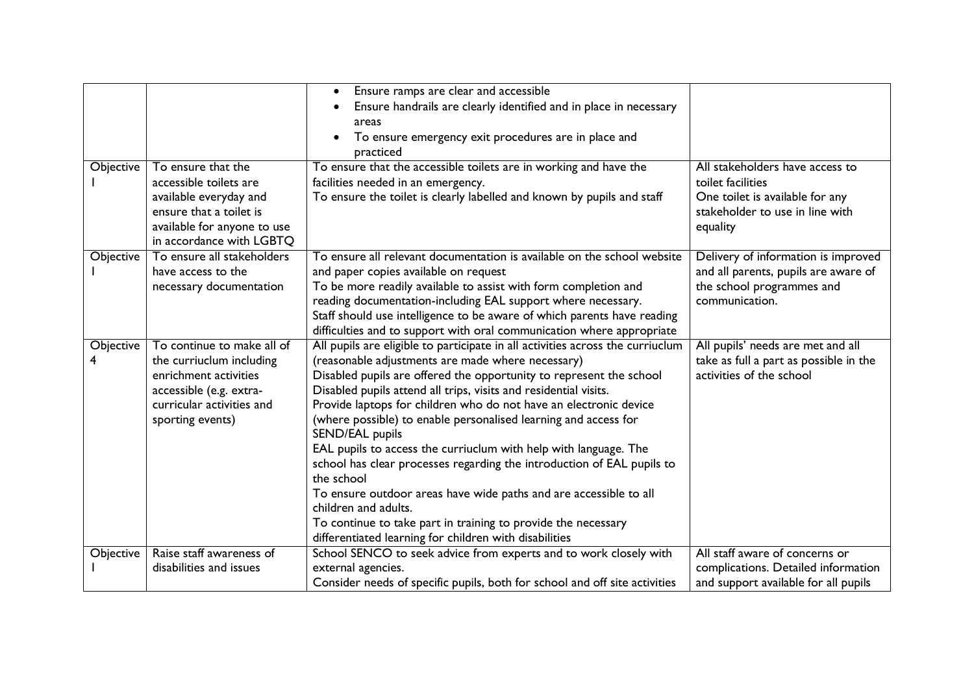| Objective             | To ensure that the<br>accessible toilets are<br>available everyday and<br>ensure that a toilet is<br>available for anyone to use<br>in accordance with LGBTQ | Ensure ramps are clear and accessible<br>$\bullet$<br>Ensure handrails are clearly identified and in place in necessary<br>$\bullet$<br>areas<br>To ensure emergency exit procedures are in place and<br>$\bullet$<br>practiced<br>To ensure that the accessible toilets are in working and have the<br>facilities needed in an emergency.<br>To ensure the toilet is clearly labelled and known by pupils and staff                                                                                                                                                                                                                                                                                                                                                                                                          | All stakeholders have access to<br>toilet facilities<br>One toilet is available for any<br>stakeholder to use in line with<br>equality |
|-----------------------|--------------------------------------------------------------------------------------------------------------------------------------------------------------|-------------------------------------------------------------------------------------------------------------------------------------------------------------------------------------------------------------------------------------------------------------------------------------------------------------------------------------------------------------------------------------------------------------------------------------------------------------------------------------------------------------------------------------------------------------------------------------------------------------------------------------------------------------------------------------------------------------------------------------------------------------------------------------------------------------------------------|----------------------------------------------------------------------------------------------------------------------------------------|
| Objective             | To ensure all stakeholders<br>have access to the<br>necessary documentation                                                                                  | To ensure all relevant documentation is available on the school website<br>and paper copies available on request<br>To be more readily available to assist with form completion and<br>reading documentation-including EAL support where necessary.<br>Staff should use intelligence to be aware of which parents have reading<br>difficulties and to support with oral communication where appropriate                                                                                                                                                                                                                                                                                                                                                                                                                       | Delivery of information is improved<br>and all parents, pupils are aware of<br>the school programmes and<br>communication.             |
| <b>Objective</b><br>4 | To continue to make all of<br>the curriuclum including<br>enrichment activities<br>accessible (e.g. extra-<br>curricular activities and<br>sporting events)  | All pupils are eligible to participate in all activities across the curriuclum<br>(reasonable adjustments are made where necessary)<br>Disabled pupils are offered the opportunity to represent the school<br>Disabled pupils attend all trips, visits and residential visits.<br>Provide laptops for children who do not have an electronic device<br>(where possible) to enable personalised learning and access for<br>SEND/EAL pupils<br>EAL pupils to access the curriuclum with help with language. The<br>school has clear processes regarding the introduction of EAL pupils to<br>the school<br>To ensure outdoor areas have wide paths and are accessible to all<br>children and adults.<br>To continue to take part in training to provide the necessary<br>differentiated learning for children with disabilities | All pupils' needs are met and all<br>take as full a part as possible in the<br>activities of the school                                |
| Objective             | Raise staff awareness of<br>disabilities and issues                                                                                                          | School SENCO to seek advice from experts and to work closely with<br>external agencies.<br>Consider needs of specific pupils, both for school and off site activities                                                                                                                                                                                                                                                                                                                                                                                                                                                                                                                                                                                                                                                         | All staff aware of concerns or<br>complications. Detailed information<br>and support available for all pupils                          |